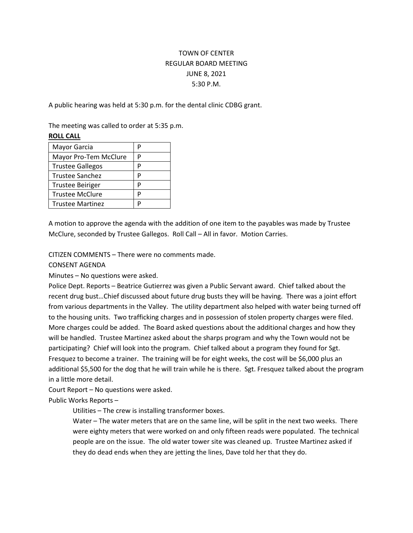## TOWN OF CENTER REGULAR BOARD MEETING JUNE 8, 2021 5:30 P.M.

A public hearing was held at 5:30 p.m. for the dental clinic CDBG grant.

The meeting was called to order at 5:35 p.m.

## **ROLL CALL**

| Mayor Garcia            | P |
|-------------------------|---|
| Mayor Pro-Tem McClure   | P |
| <b>Trustee Gallegos</b> | P |
| <b>Trustee Sanchez</b>  | P |
| <b>Trustee Beiriger</b> | P |
| <b>Trustee McClure</b>  | P |
| <b>Trustee Martinez</b> |   |

A motion to approve the agenda with the addition of one item to the payables was made by Trustee McClure, seconded by Trustee Gallegos. Roll Call – All in favor. Motion Carries.

CITIZEN COMMENTS – There were no comments made.

CONSENT AGENDA

Minutes – No questions were asked.

Police Dept. Reports – Beatrice Gutierrez was given a Public Servant award. Chief talked about the recent drug bust…Chief discussed about future drug busts they will be having. There was a joint effort from various departments in the Valley. The utility department also helped with water being turned off to the housing units. Two trafficking charges and in possession of stolen property charges were filed. More charges could be added. The Board asked questions about the additional charges and how they will be handled. Trustee Martinez asked about the sharps program and why the Town would not be participating? Chief will look into the program. Chief talked about a program they found for Sgt. Fresquez to become a trainer. The training will be for eight weeks, the cost will be \$6,000 plus an additional \$5,500 for the dog that he will train while he is there. Sgt. Fresquez talked about the program in a little more detail.

Court Report – No questions were asked.

Public Works Reports –

Utilities – The crew is installing transformer boxes.

Water – The water meters that are on the same line, will be split in the next two weeks. There were eighty meters that were worked on and only fifteen reads were populated. The technical people are on the issue. The old water tower site was cleaned up. Trustee Martinez asked if they do dead ends when they are jetting the lines, Dave told her that they do.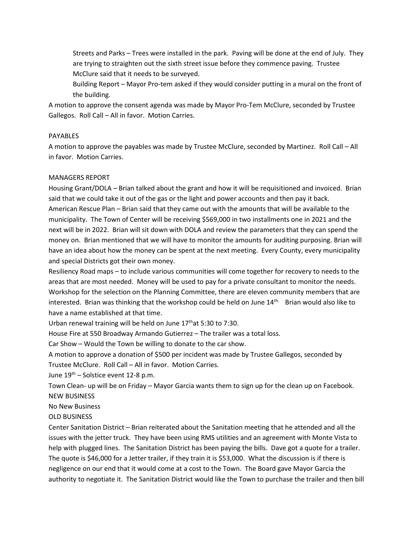Streets and Parks – Trees were installed in the park. Paving will be done at the end of July. They are trying to straighten out the sixth street issue before they commence paving. Trustee McClure said that it needs to be surveyed.

Building Report – Mayor Pro-tem asked if they would consider putting in a mural on the front of the building.

A motion to approve the consent agenda was made by Mayor Pro-Tem McClure, seconded by Trustee Gallegos. Roll Call – All in favor. Motion Carries.

## PAYABLES

A motion to approve the payables was made by Trustee McClure, seconded by Martinez. Roll Call – All in favor. Motion Carries.

## MANAGERS REPORT

Housing Grant/DOLA – Brian talked about the grant and how it will be requisitioned and invoiced. Brian said that we could take it out of the gas or the light and power accounts and then pay it back. American Rescue Plan – Brian said that they came out with the amounts that will be available to the municipality. The Town of Center will be receiving \$569,000 in two installments one in 2021 and the next will be in 2022. Brian will sit down with DOLA and review the parameters that they can spend the money on. Brian mentioned that we will have to monitor the amounts for auditing purposing. Brian will have an idea about how the money can be spent at the next meeting. Every County, every municipality and special Districts got their own money.

Resiliency Road maps – to include various communities will come together for recovery to needs to the areas that are most needed. Money will be used to pay for a private consultant to monitor the needs. Workshop for the selection on the Planning Committee, there are eleven community members that are interested. Brian was thinking that the workshop could be held on June 14<sup>th.</sup> Brian would also like to have a name established at that time.

Urban renewal training will be held on June  $17<sup>th</sup>$ at 5:30 to 7:30.

House Fire at 550 Broadway Armando Gutierrez – The trailer was a total loss.

Car Show – Would the Town be willing to donate to the car show.

A motion to approve a donation of \$500 per incident was made by Trustee Gallegos, seconded by Trustee McClure. Roll Call – All in favor. Motion Carries.

June  $19^{th}$  – Solstice event 12-8 p.m.

Town Clean- up will be on Friday – Mayor Garcia wants them to sign up for the clean up on Facebook. NEW BUSINESS

No New Business

OLD BUSINESS

Center Sanitation District – Brian reiterated about the Sanitation meeting that he attended and all the issues with the jetter truck. They have been using RMS utilities and an agreement with Monte Vista to help with plugged lines. The Sanitation District has been paying the bills. Dave got a quote for a trailer. The quote is \$46,000 for a Jetter trailer, if they train it is \$53,000. What the discussion is if there is negligence on our end that it would come at a cost to the Town. The Board gave Mayor Garcia the authority to negotiate it. The Sanitation District would like the Town to purchase the trailer and then bill